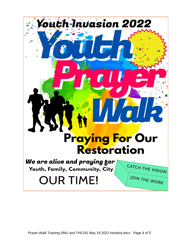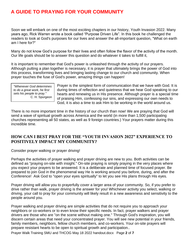# **A GUIDE TO PRAYING FOR YOUR COMMUNITY**

Soon we will embark on one of the most exciting chapters in our history, Youth Invasion 2022. Many years ago, Rick Warren wrote a book called "Purpose Driven Life". In this book he challenged the readers to look at God's purposes for our lives and answer the all-important question, "What on earth am I here for?"

Many do not know God's purpose for their lives and often follow the flavor of the activity of the month. Our life goals should be to answer this question and do whatever it takes to fulfill it,

It is important to remember that God's power is unleashed through the activity of our prayers. Although putting a plan together is necessary, it is prayer that ultimately brings the power of God into this process, transforming lives and bringing lasting change to our church and community. When prayer touches the fuse of God's power, amazing things can happen!

*"Whenever God determines to do a great work, he first sets his people to pray."* C. H. Spurgeon Prayer is the simplest form of communication that we have with God. It is during times of reflection and quietness that we hear God speaking to our hearts and renewing us in His presence. Although prayer is a special time of praising Him, confessing our sins, and expressing our own needs to God, it is also a time to ask Him to be working in the world around us.

There is no more important time in the history of our church than now! We are praying that God will send a wave of spiritual growth across America and the world (in more than 1,500 participating churches representing all 50 states, as well as 9 foreign countries.) Your prayers matter during this incredible time.

#### **HOW CAN I BEST PRAY FOR THE "YOUTH INVASION 2022" EXPERIENCE TO POSITIVELY IMPACT MY COMMUNITY?**

Consider prayer walking or prayer driving!

Perhaps the activities of prayer walking and prayer driving are new to you. Both activities can be defined as "praying on-site with insight." On-site praying is simply praying in the very places where you expect your prayers to be answered. It is a deliberate and planned time of focused prayer. Be prepared to join God in the phenomenal way He is working around you before, during, and after the Conference! Ask God to "open your eyes spiritually" to let you see His plans through His eyes.

Prayer driving will allow you to prayerfully cover a larger area of your community. So, if you prefer to drive rather than walk, prayer driving is the answer for you! Whichever activity you select, walking or driving, your call to pray for your community will likely result in a new awareness and sensitivity to the people around you.

Prayer walking and prayer driving are simple activities that do not require you to approach your neighbors or co-workers or to even know their specific needs. In fact, prayer walkers and prayer drivers are those who are "on the scene without making one." Through God's inspiration, you will discern certain areas that need your concentrated prayer. You will see new potential in your friends, family members, neighbors, fellow church members, and co-workers. Your on-site prayers will prepare resistant hearts to be open to spiritual growth and participation..

Prayer Walk Training SMU and THCOG May 18 2022 handout.docx Page **2** of **7**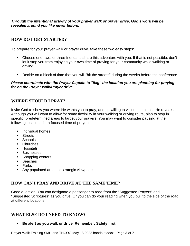*Through the intentional activity of your prayer walk or prayer drive, God's work will be revealed around you like never before.*

### **HOW DO I GET STARTED?**

To prepare for your prayer walk or prayer drive, take these two easy steps:

- Choose one, two, or three friends to share this adventure with you. If that is not possible, don't let it stop you from enjoying your own time of praying for your community while walking or driving.
- Decide on a block of time that you will "hit the streets" during the weeks before the conference.

#### *Please coordinate with the Prayer Captain to "flag" the location you are planning for praying for on the Prayer walk/Prayer drive.*

#### **WHERE SHOULD I PRAY?**

Invite God to show you where He wants you to pray, and be willing to visit those places He reveals. Although you will want to allow for some flexibility in your walking or driving route, plan to stop in specific, predetermined areas to target your prayers. You may want to consider pausing at the following locations for a focused time of prayer:

- Individual homes
- Streets
- Schools
- Churches
- Hospitals
- **Businesses**
- Shopping centers
- Beaches
- Parks
- Any populated areas or strategic viewpoints!

# **HOW CAN I PRAY AND DRIVE AT THE SAME TIME?**

Good question! You can designate a passenger to read from the "Suggested Prayers" and "Suggested Scriptures" as you drive. Or you can do your reading when you pull to the side of the road at different locations.

#### **WHAT ELSE DO I NEED TO KNOW?**

▪ **Be alert as you walk or drive. Remember: Safety first!**

Prayer Walk Training SMU and THCOG May 18 2022 handout.docx Page **3** of **7**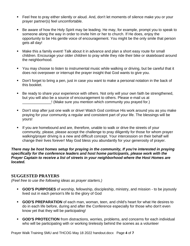- Feel free to pray either silently or aloud. And, don't let moments of silence make you or your prayer partner(s) feel uncomfortable.
- Be aware of how the Holy Spirit may be leading. He may, for example, prompt you to speak to someone along the way in order to invite him or her to church. If He does, enjoy the opportunity to be His gentle voice of encouragement. You might be the only smile that person gets all day!
- Make this a family event! Talk about it in advance and plan a short easy route for small children. Encourage your older children to pray while they ride their bike or skateboard around the neighborhood.
- You may choose to listen to instrumental music while walking or driving, but be careful that it does not overpower or interrupt the prayer insight that God wants to give you.
- Don't forget to bring a pen, just in case you want to make a personal notation in the back of this booklet.
- Be ready to share your experience with others. Not only will your own faith be strengthened, but you will also be a source of encouragement to others. Please e-mail us at \_\_\_\_\_\_\_\_\_\_\_\_\_\_! (Make sure you mention which community you prayed for.)
- Don't stop after just one walk or drive! Watch God continue His work around you as you make praying for your community a regular and consistent part of your life. The blessings will be yours!
- **EXT** If you are homebound and are, therefore, unable to walk or drive the streets of your community, please, please accept the challenge to pray diligently for those for whom prayer walking/prayer driving is a new and difficult concept. Your intercession on their behalf will change their lives forever! May God bless you abundantly for your generosity of prayer.

*There may be host homes setup for praying in the community, If you're interested in praying specifically for the conference leaders and host home participants, please work with the Prayer Captain to receive a list of streets in your neighborhood where the Host Homes are located.*

#### **SUGGESTED PRAYERS**

*(Feel free to use the following ideas as prayer starters.)*

- **GOD'S PURPOSES** of worship, fellowship, discipleship, ministry, and mission to be joyously lived out in each person's life to the glory of God
- **GOD'S PREPARATION** of each man, woman, teen, and child's heart for what He desires to do in each life before, during and after the Conference especially for those who don't even know yet that they will be participating!
- **GOD'S PROTECTION** from distractions, worries, problems, and concerns for each individual who will be participating with or working tirelessly behind the scenes as a volunteer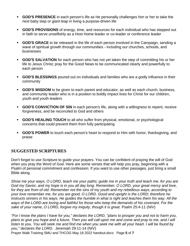- **GOD'S PRESENCE** in each person's life as He personally challenges him or her to take the next baby step or giant leap in living a purpose-driven life
- **GOD'S PROVISIONS** of energy, time, and resources for each individual who has stepped out in faith to serve unselfishly as a Host Home leader or co-leader or conference leader
- **GOD'S GRACE** to be released in the life of each person involved in the Campaign, sending a wave of spiritual growth through our communities - including our churches, schools, and businesses
- **GOD'S SALVATION** for each person who has not yet taken the step of committing his or her life to Jesus Christ; pray for the Good News to be communicated clearly and powerfully to each person
- **GOD'S BLESSINGS** poured out on individuals and families who are a godly influence in their community
- **GOD'S WISDOM** to be given to each parent and educator, as well as each church, business, and community leader who is in a position to boldly impact lives for Christ for our children, youth and youth leaders
- **GOD'S CONVICTION OF SIN** in each person's life, along with a willingness to repent, receive forgiveness, and be reconciled to God and others
- **GOD'S HEALING TOUCH** to all who suffer from physical, emotional, or psychological concerns that could prevent them from fully participating
- **GOD'S POWER** to touch each person's heart to respond to Him with honor, thanksgiving, and praise

# **SUGGESTED SCRIPTURES**

Don't forget to use Scripture to guide your prayers. You can be confident of praying the will of God when you pray the Word of God. Here are some verses that will help you pray, beginning with a Psalm of personal commitment and confession. If you want to use other passages, just bring a small Bible along.

*Show me your ways, O LORD, teach me your paths; guide me in your truth and teach me, for you are God my Savior, and my hope is in you all day long. Remember, O LORD, your great mercy and love, for they are from of old. Remember not the sins of my youth and my rebellious ways; according to your love remember me, for you are good, O LORD. Good and upright is the LORD; therefore he instructs sinners in his ways. He guides the humble in what is right and teaches them his way. All the ways of the LORD are loving and faithful for those who keep the demands of his covenant. For the*  sake of your name, O LORD, forgive my iniquity, though it is great. Psalm 25:4-11 (NIV)

*"For I know the plans I have for you," declares the LORD, "plans to prosper you and not to harm you, plans to give you hope and a future. Then you will call upon me and come and pray to me, and I will listen to you. You will seek me and find me when you seek me with all your heart. I will be found by you," declares the LORD.* Jeremiah 29:11-14 (NIV)

Prayer Walk Training SMU and THCOG May 18 2022 handout.docx Page **5** of **7**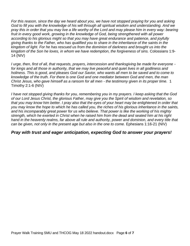*For this reason, since the day we heard about you, we have not stopped praying for you and asking God to fill you with the knowledge of his will through all spiritual wisdom and understanding. And we pray this in order that you may live a life worthy of the Lord and may please him in every way: bearing fruit in every good work, growing in the knowledge of God, being strengthened with all power according to his glorious might so that you may have great endurance and patience, and joyfully giving thanks to the Father, who has qualified you to share in the inheritance of the saints in the kingdom of light. For he has rescued us from the dominion of darkness and brought us into the kingdom of the Son he loves, in whom we have redemption, the forgiveness of sins.* Colossians 1:9- 14 (NIV)

*I urge, then, first of all, that requests, prayers, intercession and thanksgiving be made for everyone for kings and all those in authority, that we may live peaceful and quiet lives in all godliness and holiness. This is good, and pleases God our Savior, who wants all men to be saved and to come to knowledge of the truth. For there is one God and one mediator between God and men, the man Christ Jesus, who gave himself as a ransom for all men - the testimony given in its proper time.* 1 Timothy 2:1-6 (NIV)

*I have not stopped giving thanks for you, remembering you in my prayers. I keep asking that the God of our Lord Jesus Christ, the glorious Father, may give you the Spirit of wisdom and revelation, so that you may know him better. I pray also that the eyes of your heart may be enlightened in order that you may know the hope to which he has called you, the riches of his glorious inheritance in the saints, and his incomparably great power for us who believe. That power is like the working of his mighty strength, which he exerted in Christ when he raised him from the dead and seated him at his right*  hand in the heavenly realms, far above all rule and authority, power and dominion, and every title that *can be given, not only in the present age but also in the one to come.* Ephesians 1:16-21 (NIV)

#### *Pray with trust and eager anticipation, expecting God to answer your prayers!*